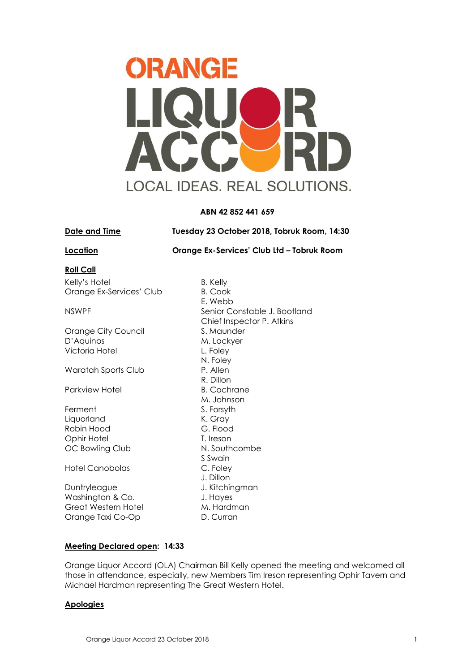

## **ABN 42 852 441 659**

**Date and Time Tuesday 23 October 2018, Tobruk Room, 14:30**

**Location Orange Ex-Services' Club Ltd – Tobruk Room** 

## **Roll Call**

Kelly's Hotel B. Kelly Orange Ex-Services' Club B. Cook

Orange City Council S. Maunder D'Aquinos M. Lockyer Victoria Hotel **L. Foley** 

Waratah Sports Club P. Allen

Parkview Hotel B. Cochrane

Ferment S. Forsyth Liquorland K. Gray Robin Hood G. Flood Ophir Hotel T. Ireson OC Bowling Club N. Southcombe

Hotel Canobolas C. Foley

Duntryleague J. Kitchingman Washington & Co. Show and Muslim J. Hayes Great Western Hotel M. Hardman Orange Taxi Co-Op D. Curran

E. Webb NSWPF Senior Constable J. Bootland Chief Inspector P. Atkins N. Foley R. Dillon M. Johnson S Swain J. Dillon

# **Meeting Declared open: 14:33**

Orange Liquor Accord (OLA) Chairman Bill Kelly opened the meeting and welcomed all those in attendance, especially, new Members Tim Ireson representing Ophir Tavern and Michael Hardman representing The Great Western Hotel.

## **Apologies**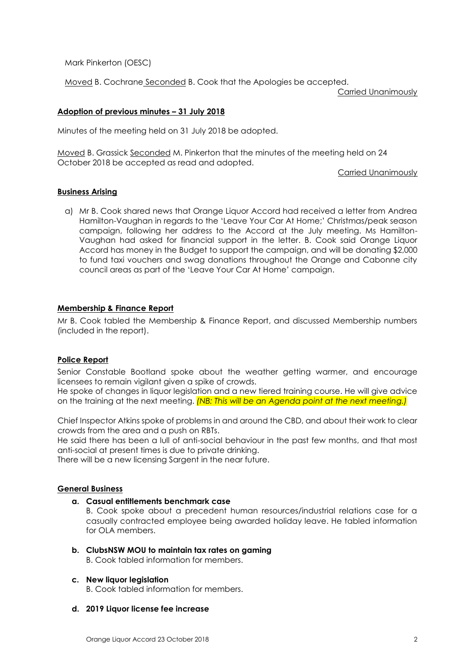Mark Pinkerton (OESC)

Moved B. Cochrane Seconded B. Cook that the Apologies be accepted.

Carried Unanimously

## **Adoption of previous minutes – 31 July 2018**

Minutes of the meeting held on 31 July 2018 be adopted.

Moved B. Grassick Seconded M. Pinkerton that the minutes of the meeting held on 24 October 2018 be accepted as read and adopted.

Carried Unanimously

## **Business Arising**

a) Mr B. Cook shared news that Orange Liquor Accord had received a letter from Andrea Hamilton-Vaughan in regards to the 'Leave Your Car At Home;' Christmas/peak season campaign, following her address to the Accord at the July meeting. Ms Hamilton-Vaughan had asked for financial support in the letter. B. Cook said Orange Liquor Accord has money in the Budget to support the campaign, and will be donating \$2,000 to fund taxi vouchers and swag donations throughout the Orange and Cabonne city council areas as part of the 'Leave Your Car At Home' campaign.

## **Membership & Finance Report**

Mr B. Cook tabled the Membership & Finance Report, and discussed Membership numbers (included in the report).

## **Police Report**

Senior Constable Bootland spoke about the weather getting warmer, and encourage licensees to remain vigilant given a spike of crowds.

He spoke of changes in liquor legislation and a new tiered training course. He will give advice on the training at the next meeting. *(NB: This will be an Agenda point at the next meeting.)*

Chief Inspector Atkins spoke of problems in and around the CBD, and about their work to clear crowds from the area and a push on RBTs.

He said there has been a lull of anti-social behaviour in the past few months, and that most anti-social at present times is due to private drinking.

There will be a new licensing Sargent in the near future.

## **General Business**

**a. Casual entitlements benchmark case**

B. Cook spoke about a precedent human resources/industrial relations case for a casually contracted employee being awarded holiday leave. He tabled information for OLA members.

**b. ClubsNSW MOU to maintain tax rates on gaming** B. Cook tabled information for members.

## **c. New liquor legislation**

B. Cook tabled information for members.

## **d. 2019 Liquor license fee increase**